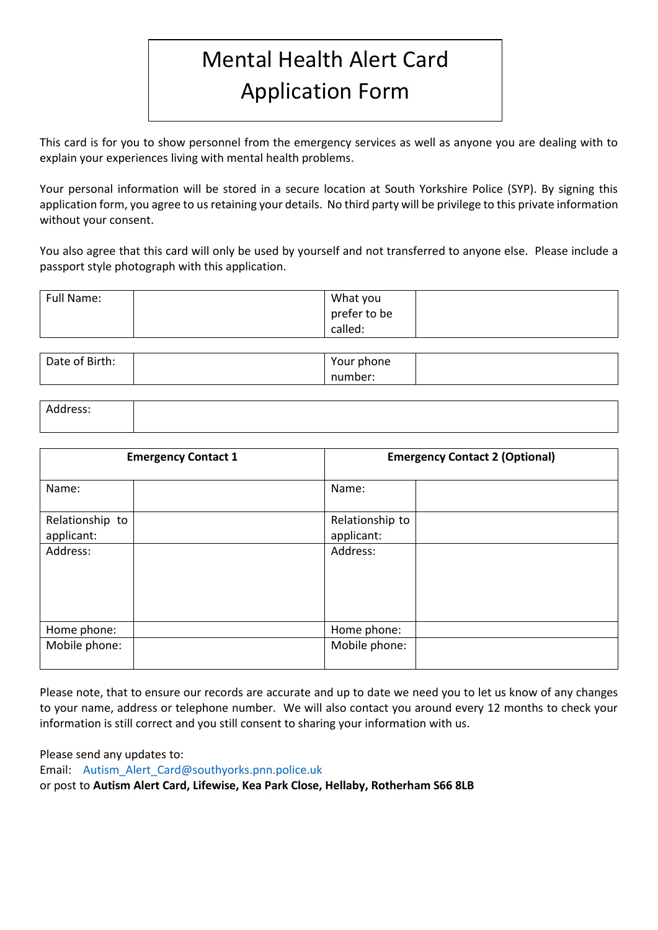# Mental Health Alert Card Application Form

This card is for you to show personnel from the emergency services as well as anyone you are dealing with to explain your experiences living with mental health problems.

Your personal information will be stored in a secure location at South Yorkshire Police (SYP). By signing this application form, you agree to us retaining your details. No third party will be privilege to this private information without your consent.

You also agree that this card will only be used by yourself and not transferred to anyone else. Please include a passport style photograph with this application.

| Full Name: | What you     |  |
|------------|--------------|--|
|            | prefer to be |  |
|            | called:      |  |

| <b>E</b> lirth:<br>∶of<br>Date | <b>phone</b><br>Your |  |
|--------------------------------|----------------------|--|
|                                | mber:                |  |

| <b>Emergency Contact 1</b>    | <b>Emergency Contact 2 (Optional)</b> |
|-------------------------------|---------------------------------------|
| Name:                         | Name:                                 |
| Relationship to<br>applicant: | Relationship to<br>applicant:         |
| Address:                      | Address:                              |
| Home phone:                   | Home phone:                           |
| Mobile phone:                 | Mobile phone:                         |

Please note, that to ensure our records are accurate and up to date we need you to let us know of any changes to your name, address or telephone number. We will also contact you around every 12 months to check your information is still correct and you still consent to sharing your information with us.

Please send any updates to: Email: Autism Alert Card@southyorks.pnn.police.uk or post to **Autism Alert Card, Lifewise, Kea Park Close, Hellaby, Rotherham S66 8LB**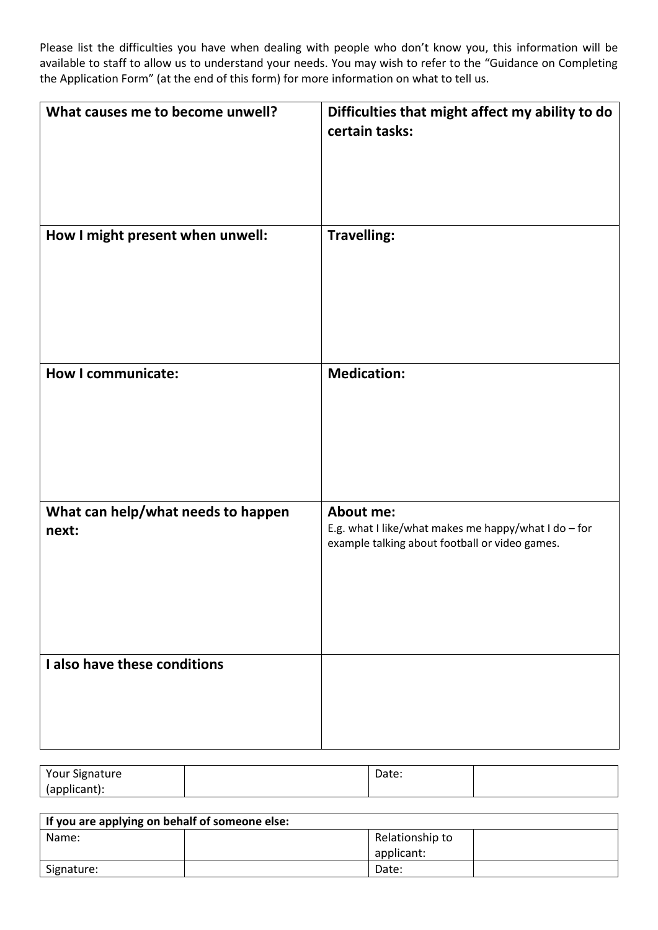Please list the difficulties you have when dealing with people who don't know you, this information will be available to staff to allow us to understand your needs. You may wish to refer to the "Guidance on Completing the Application Form" (at the end of this form) for more information on what to tell us.

| What causes me to become unwell?            | Difficulties that might affect my ability to do<br>certain tasks:                                                          |
|---------------------------------------------|----------------------------------------------------------------------------------------------------------------------------|
| How I might present when unwell:            | <b>Travelling:</b>                                                                                                         |
| <b>How I communicate:</b>                   | <b>Medication:</b>                                                                                                         |
| What can help/what needs to happen<br>next: | <b>About me:</b><br>E.g. what I like/what makes me happy/what I do - for<br>example talking about football or video games. |
| I also have these conditions                |                                                                                                                            |

| <b>Your Signature</b> | Date: |  |
|-----------------------|-------|--|
| $- - - - -$<br>Innni  |       |  |

| If you are applying on behalf of someone else: |  |                 |  |
|------------------------------------------------|--|-----------------|--|
| Name:                                          |  | Relationship to |  |
|                                                |  | applicant:      |  |
| Signature:                                     |  | Date:           |  |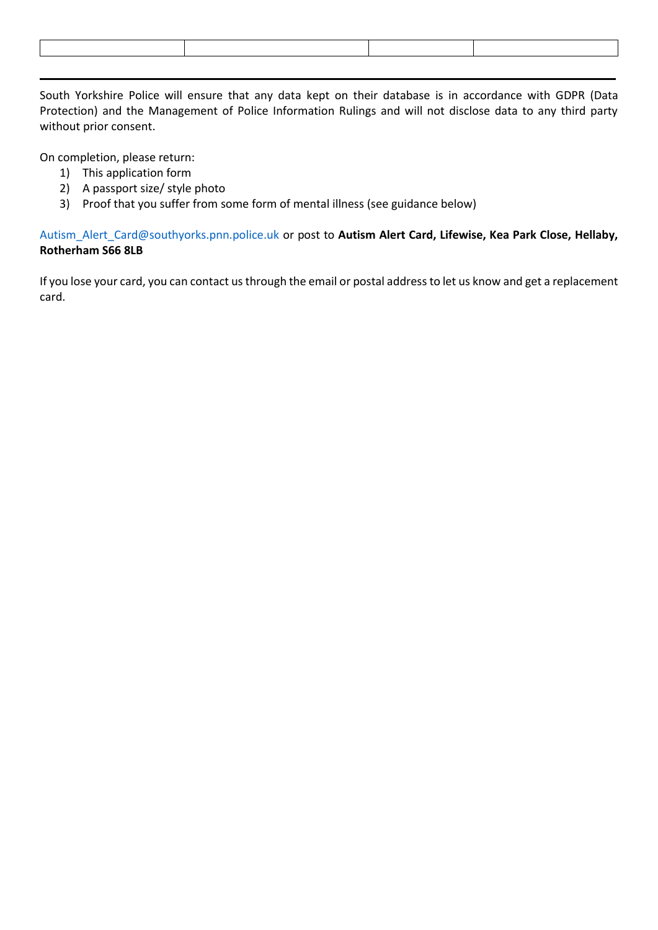South Yorkshire Police will ensure that any data kept on their database is in accordance with GDPR (Data Protection) and the Management of Police Information Rulings and will not disclose data to any third party without prior consent.

On completion, please return:

- 1) This application form
- 2) A passport size/ style photo
- 3) Proof that you suffer from some form of mental illness (see guidance below)

Autism\_Alert\_Card@southyorks.pnn.police.uk or post to **Autism Alert Card, Lifewise, Kea Park Close, Hellaby, Rotherham S66 8LB**

If you lose your card, you can contact us through the email or postal address to let us know and get a replacement card.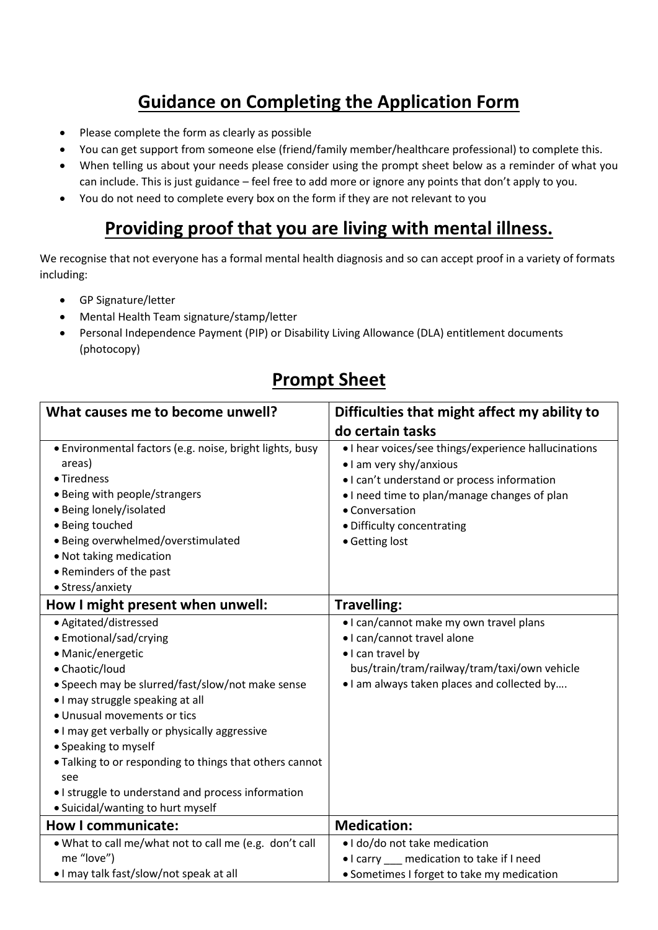## **Guidance on Completing the Application Form**

- Please complete the form as clearly as possible
- You can get support from someone else (friend/family member/healthcare professional) to complete this.
- When telling us about your needs please consider using the prompt sheet below as a reminder of what you can include. This is just guidance – feel free to add more or ignore any points that don't apply to you.
- You do not need to complete every box on the form if they are not relevant to you

#### **Providing proof that you are living with mental illness.**

We recognise that not everyone has a formal mental health diagnosis and so can accept proof in a variety of formats including:

- GP Signature/letter
- Mental Health Team signature/stamp/letter
- Personal Independence Payment (PIP) or Disability Living Allowance (DLA) entitlement documents (photocopy)

| What causes me to become unwell?                                                                                                                                                                                                                                                                                                                                                                                                                    | Difficulties that might affect my ability to                                                                                                                                                                                                     |  |
|-----------------------------------------------------------------------------------------------------------------------------------------------------------------------------------------------------------------------------------------------------------------------------------------------------------------------------------------------------------------------------------------------------------------------------------------------------|--------------------------------------------------------------------------------------------------------------------------------------------------------------------------------------------------------------------------------------------------|--|
|                                                                                                                                                                                                                                                                                                                                                                                                                                                     | do certain tasks                                                                                                                                                                                                                                 |  |
| • Environmental factors (e.g. noise, bright lights, busy<br>areas)<br>• Tiredness<br>• Being with people/strangers<br>• Being lonely/isolated<br>• Being touched<br>· Being overwhelmed/overstimulated<br>• Not taking medication<br>• Reminders of the past<br>• Stress/anxiety                                                                                                                                                                    | • I hear voices/see things/experience hallucinations<br>• I am very shy/anxious<br>· I can't understand or process information<br>. I need time to plan/manage changes of plan<br>• Conversation<br>• Difficulty concentrating<br>• Getting lost |  |
| How I might present when unwell:                                                                                                                                                                                                                                                                                                                                                                                                                    | <b>Travelling:</b>                                                                                                                                                                                                                               |  |
| · Agitated/distressed<br>• Emotional/sad/crying<br>• Manic/energetic<br>• Chaotic/loud<br>• Speech may be slurred/fast/slow/not make sense<br>. I may struggle speaking at all<br>· Unusual movements or tics<br>. I may get verbally or physically aggressive<br>• Speaking to myself<br>• Talking to or responding to things that others cannot<br>see<br>• I struggle to understand and process information<br>• Suicidal/wanting to hurt myself | . I can/cannot make my own travel plans<br>· I can/cannot travel alone<br>. I can travel by<br>bus/train/tram/railway/tram/taxi/own vehicle<br>. I am always taken places and collected by                                                       |  |
| <b>How I communicate:</b>                                                                                                                                                                                                                                                                                                                                                                                                                           | <b>Medication:</b>                                                                                                                                                                                                                               |  |
| . What to call me/what not to call me (e.g. don't call<br>me "love")<br>. I may talk fast/slow/not speak at all                                                                                                                                                                                                                                                                                                                                     | · I do/do not take medication<br>• I carry ___ medication to take if I need<br>• Sometimes I forget to take my medication                                                                                                                        |  |

### **Prompt Sheet**